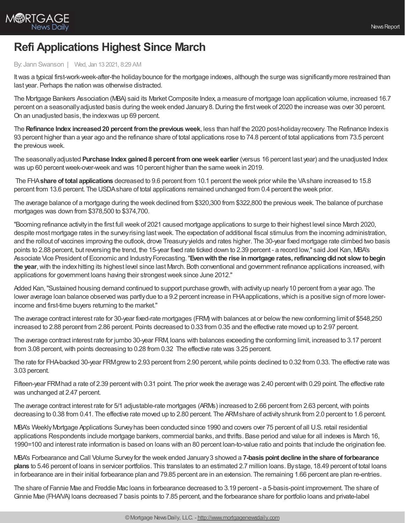

## **Refi Applications Highest Since March**

## By: Jann Swanson | Wed, Jan 13 2021, 8:29 AM

It was a typical first-work-week-after-the holiday bounce for the mortgage indexes, although the surge was significantly more restrained than last year. Perhaps the nation was otherwise distracted.

The Mortgage Bankers Association (MBA) said its Market Composite Index, a measure of mortgage Ioan application volume, increased 16.7 percent on a seasonallyadjusted basis during the week ended January8.During the firstweek of 2020 the increase was over 30 percent. On an unadjusted basis, the indexwas up 69 percent.

The **Refinance Index increased20 percent fromthe previousweek**, less than half the 2020 post-holidayrecovery. The Refinance Indexis 93 percent higher than a year ago and the refinance share of total applications rose to 74.8 percent of total applications from 73.5 percent the previous week.

The seasonallyadjusted **Purchase Index gained8 percent fromoneweek earlier** (versus 16 percent last year) and the unadjusted Index was up 60 percentweek-over-week and was 10 percent higher than the same week in 2019.

The FHA**share of total applications** decreased to 9.6 percent from 10.1 percent the week prior while the VAshare increased to 15.8 percent from 13.6 percent. The USDAshare of total applications remained unchanged from 0.4 percent the week prior.

The average balance of a mortgage during the week declined from \$320,300 from \$322,800 the previous week. The balance of purchase mortgages was down from \$378,500 to \$374,700.

"Booming refinance activityin the first full week of 2021 caused mortgage applications to surge to their highest level since March 2020, despite most mortgage rates in the surveyrising lastweek. The expectation of additional fiscal stimulus from the incoming administration, and the rollout of vaccines improving the outlook, drove Treasuryyields and rates higher. The 30-year fixed mortgage rate climbed two basis points to 2.88 percent, but reversing the trend, the 15-year fixed rate ticked down to 2.39 percent - a record low," said Joel Kan, MBA's Associate Vice President of Economic and IndustryForecasting."**Evenwiththe rise inmortgage rates,refinancingdidnot slow tobegin the year**,with the indexhitting its highest level since last March. Both conventional and government refinance applications increased,with applications for government loans having their strongestweek since June 2012."

Added Kan, "Sustained housing demand continued to support purchase growth, with activity up nearly 10 percent from a year ago. The lower average loan balance observed was partly due to a 9.2 percent increase in FHA applications, which is a positive sign of more lowerincome and first-time buyers returning to the market."

The average contract interest rate for 30-year fixed-rate mortgages (FRM) with balances at or belowthe newconforming limit of \$548,250 increased to 2.88 percent from 2.86 percent. Points decreased to 0.33 from 0.35 and the effective rate moved up to 2.97 percent.

The average contract interest rate for jumbo 30-year FRM, loans with balances exceeding the conforming limit, increased to 3.17 percent from 3.08 percent, with points decreasing to 0.28 from 0.32 The effective rate was 3.25 percent.

The rate for FHA-backed 30-year FRMgrewto 2.93 percent from 2.90 percent,while points declined to 0.32 from 0.33. The effective rate was 3.03 percent.

Fifteen-year FRMhad a rate of 2.39 percent with 0.31 point. The prior week the average was 2.40 percent with 0.29 point. The effective rate was unchanged at 2.47 percent.

The average contract interest rate for 5/1 adjustable-rate mortgages (ARMs) increased to 2.66 percent from 2.63 percent, with points decreasing to 0.38 from 0.41. The effective rate moved up to 2.80 percent. The ARMshare of activity shrunk from 2.0 percent to 1.6 percent.

MBA's WeeklyMortgage Applications Surveyhas been conducted since 1990 and covers over 75 percent of all U.S. retail residential applications Respondents include mortgage bankers, commercial banks, and thrifts. Base period and value for all indexes is March 16, 1990=100 and interest rate information is based on loans with an 80 percent loan-to-value ratio and points that include the origination fee.

MBA's Forbearance and Call Volume Surveyfor the week ended January3 showed a **7-basis point decline inthe share of forbearance plans** to 5.46 percent of loans in servicer portfolios. This translates to an estimated 2.7 million loans. Bystage, 18.49 percent of total loans in forbearance are in their initial forbearance plan and 79.85 percent are in an extension. The remaining 1.66 percent are plan re-entries.

The share of Fannie Mae and Freddie Mac loans in forbearance decreased to 3.19 percent - a 5-basis-point improvement. The share of Ginnie Mae (FHA/VA) loans decreased 7 basis points to 7.85 percent, and the forbearance share for portfolio loans and private-label